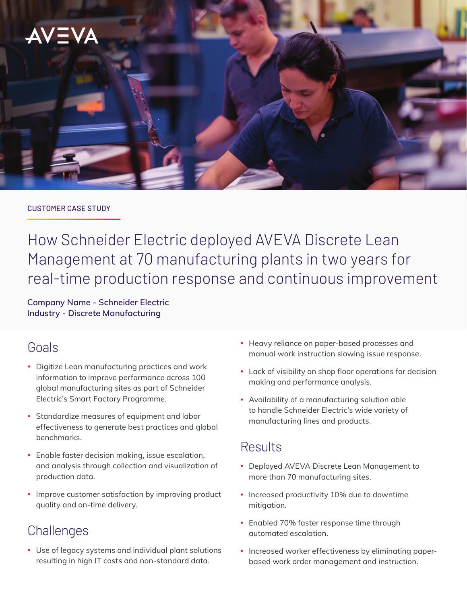

#### CUSTOMER CASE STUDY

How Schneider Electric deployed AVEVA Discrete Lean Management at 70 manufacturing plants in two years for real-time production response and continuous improvement

**Company Name - Schneider Electric Industry - Discrete Manufacturing**

# Goals

- Digitize Lean manufacturing practices and work information to improve performance across 100 global manufacturing sites as part of Schneider Electric's Smart Factory Programme.
- Standardize measures of equipment and labor effectiveness to generate best practices and global benchmarks.
- Enable faster decision making, issue escalation, and analysis through collection and visualization of production data.
- Improve customer satisfaction by improving product quality and on-time delivery.

# **Challenges**

• Use of legacy systems and individual plant solutions resulting in high IT costs and non-standard data.

- Heavy reliance on paper-based processes and manual work instruction slowing issue response.
- Lack of visibility on shop floor operations for decision making and performance analysis.
- Availability of a manufacturing solution able to handle Schneider Electric's wide variety of manufacturing lines and products.

# Results

- Deployed AVEVA Discrete Lean Management to more than 70 manufacturing sites.
- Increased productivity 10% due to downtime mitigation.
- Enabled 70% faster response time through automated escalation.
- Increased worker effectiveness by eliminating paperbased work order management and instruction.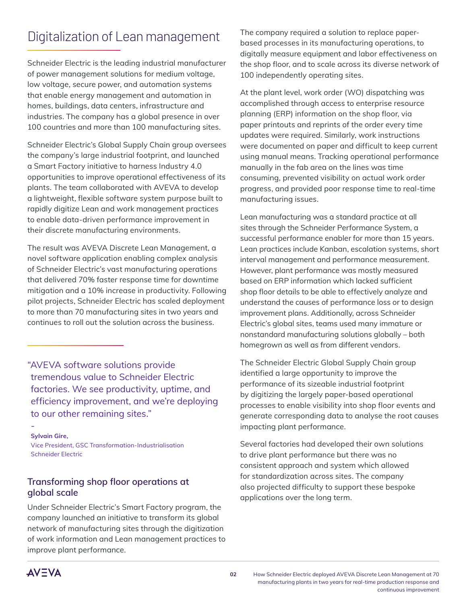# Digitalization of Lean management

Schneider Electric is the leading industrial manufacturer of power management solutions for medium voltage, low voltage, secure power, and automation systems that enable energy management and automation in homes, buildings, data centers, infrastructure and industries. The company has a global presence in over 100 countries and more than 100 manufacturing sites.

Schneider Electric's Global Supply Chain group oversees the company's large industrial footprint, and launched a Smart Factory initiative to harness Industry 4.0 opportunities to improve operational effectiveness of its plants. The team collaborated with AVEVA to develop a lightweight, flexible software system purpose built to rapidly digitize Lean and work management practices to enable data-driven performance improvement in their discrete manufacturing environments.

The result was AVEVA Discrete Lean Management, a novel software application enabling complex analysis of Schneider Electric's vast manufacturing operations that delivered 70% faster response time for downtime mitigation and a 10% increase in productivity. Following pilot projects, Schneider Electric has scaled deployment to more than 70 manufacturing sites in two years and continues to roll out the solution across the business.

"AVEVA software solutions provide tremendous value to Schneider Electric factories. We see productivity, uptime, and efficiency improvement, and we're deploying to our other remaining sites."

#### - **Sylvain Gire,**

Vice President, GSC Transformation-Industrialisation Schneider Electric

## **Transforming shop floor operations at global scale**

Under Schneider Electric's Smart Factory program, the company launched an initiative to transform its global network of manufacturing sites through the digitization of work information and Lean management practices to improve plant performance.

The company required a solution to replace paperbased processes in its manufacturing operations, to digitally measure equipment and labor effectiveness on the shop floor, and to scale across its diverse network of 100 independently operating sites.

At the plant level, work order (WO) dispatching was accomplished through access to enterprise resource planning (ERP) information on the shop floor, via paper printouts and reprints of the order every time updates were required. Similarly, work instructions were documented on paper and difficult to keep current using manual means. Tracking operational performance manually in the fab area on the lines was time consuming, prevented visibility on actual work order progress, and provided poor response time to real-time manufacturing issues.

Lean manufacturing was a standard practice at all sites through the Schneider Performance System, a successful performance enabler for more than 15 years. Lean practices include Kanban, escalation systems, short interval management and performance measurement. However, plant performance was mostly measured based on ERP information which lacked sufficient shop floor details to be able to effectively analyze and understand the causes of performance loss or to design improvement plans. Additionally, across Schneider Electric's global sites, teams used many immature or nonstandard manufacturing solutions globally – both homegrown as well as from different vendors.

The Schneider Electric Global Supply Chain group identified a large opportunity to improve the performance of its sizeable industrial footprint by digitizing the largely paper-based operational processes to enable visibility into shop floor events and generate corresponding data to analyse the root causes impacting plant performance.

Several factories had developed their own solutions to drive plant performance but there was no consistent approach and system which allowed for standardization across sites. The company also projected difficulty to support these bespoke applications over the long term.

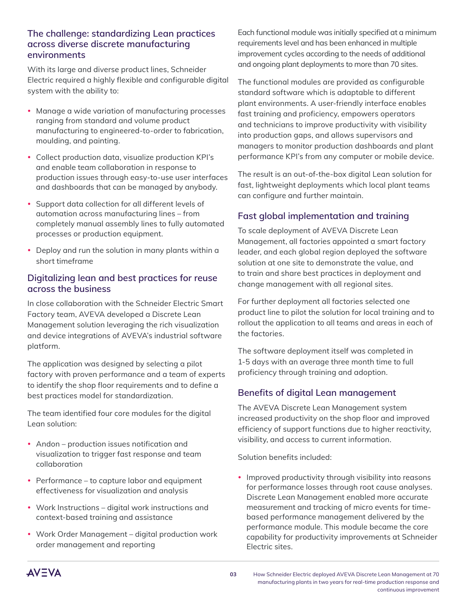### **The challenge: standardizing Lean practices across diverse discrete manufacturing environments**

With its large and diverse product lines, Schneider Electric required a highly flexible and configurable digital system with the ability to:

- Manage a wide variation of manufacturing processes ranging from standard and volume product manufacturing to engineered-to-order to fabrication, moulding, and painting.
- Collect production data, visualize production KPI's and enable team collaboration in response to production issues through easy-to-use user interfaces and dashboards that can be managed by anybody.
- Support data collection for all different levels of automation across manufacturing lines – from completely manual assembly lines to fully automated processes or production equipment.
- Deploy and run the solution in many plants within a short timeframe

## **Digitalizing lean and best practices for reuse across the business**

In close collaboration with the Schneider Electric Smart Factory team, AVEVA developed a Discrete Lean Management solution leveraging the rich visualization and device integrations of AVEVA's industrial software platform.

The application was designed by selecting a pilot factory with proven performance and a team of experts to identify the shop floor requirements and to define a best practices model for standardization.

The team identified four core modules for the digital Lean solution:

- Andon production issues notification and visualization to trigger fast response and team collaboration
- Performance to capture labor and equipment effectiveness for visualization and analysis
- Work Instructions digital work instructions and context-based training and assistance
- Work Order Management digital production work order management and reporting

Each functional module was initially specified at a minimum requirements level and has been enhanced in multiple improvement cycles according to the needs of additional and ongoing plant deployments to more than 70 sites.

The functional modules are provided as configurable standard software which is adaptable to different plant environments. A user-friendly interface enables fast training and proficiency, empowers operators and technicians to improve productivity with visibility into production gaps, and allows supervisors and managers to monitor production dashboards and plant performance KPI's from any computer or mobile device.

The result is an out-of-the-box digital Lean solution for fast, lightweight deployments which local plant teams can configure and further maintain.

# **Fast global implementation and training**

To scale deployment of AVEVA Discrete Lean Management, all factories appointed a smart factory leader, and each global region deployed the software solution at one site to demonstrate the value, and to train and share best practices in deployment and change management with all regional sites.

For further deployment all factories selected one product line to pilot the solution for local training and to rollout the application to all teams and areas in each of the factories.

The software deployment itself was completed in 1-5 days with an average three month time to full proficiency through training and adoption.

# **Benefits of digital Lean management**

The AVEVA Discrete Lean Management system increased productivity on the shop floor and improved efficiency of support functions due to higher reactivity, visibility, and access to current information.

Solution benefits included:

• Improved productivity through visibility into reasons for performance losses through root cause analyses. Discrete Lean Management enabled more accurate measurement and tracking of micro events for timebased performance management delivered by the performance module. This module became the core capability for productivity improvements at Schneider Electric sites.